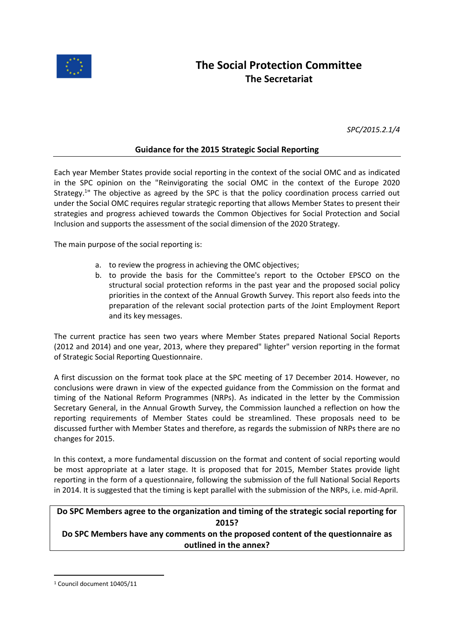

*SPC/2015.2.1/4*

## **Guidance for the 2015 Strategic Social Reporting**

Each year Member States provide social reporting in the context of the social OMC and as indicated in the SPC opinion on the "Reinvigorating the social OMC in the context of the Europe 2020 Strategy.<sup>1</sup>" The objective as agreed by the SPC is that the policy coordination process carried out under the Social OMC requires regular strategic reporting that allows Member States to present their strategies and progress achieved towards the Common Objectives for Social Protection and Social Inclusion and supports the assessment of the social dimension of the 2020 Strategy.

The main purpose of the social reporting is:

- a. to review the progress in achieving the OMC objectives;
- b. to provide the basis for the Committee's report to the October EPSCO on the structural social protection reforms in the past year and the proposed social policy priorities in the context of the Annual Growth Survey. This report also feeds into the preparation of the relevant social protection parts of the Joint Employment Report and its key messages.

The current practice has seen two years where Member States prepared National Social Reports (2012 and 2014) and one year, 2013, where they prepared" lighter" version reporting in the format of Strategic Social Reporting Questionnaire.

A first discussion on the format took place at the SPC meeting of 17 December 2014. However, no conclusions were drawn in view of the expected guidance from the Commission on the format and timing of the National Reform Programmes (NRPs). As indicated in the letter by the Commission Secretary General, in the Annual Growth Survey, the Commission launched a reflection on how the reporting requirements of Member States could be streamlined. These proposals need to be discussed further with Member States and therefore, as regards the submission of NRPs there are no changes for 2015.

In this context, a more fundamental discussion on the format and content of social reporting would be most appropriate at a later stage. It is proposed that for 2015, Member States provide light reporting in the form of a questionnaire, following the submission of the full National Social Reports in 2014. It is suggested that the timing is kept parallel with the submission of the NRPs, i.e. mid-April.

# **Do SPC Members agree to the organization and timing of the strategic social reporting for 2015?**

**Do SPC Members have any comments on the proposed content of the questionnaire as outlined in the annex?**

 $\overline{a}$ 

<sup>1</sup> Council document 10405/11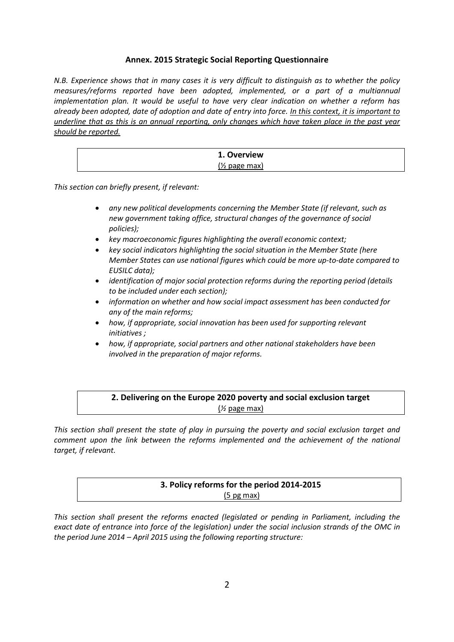#### **Annex. 2015 Strategic Social Reporting Questionnaire**

*N.B. Experience shows that in many cases it is very difficult to distinguish as to whether the policy measures/reforms reported have been adopted, implemented, or a part of a multiannual implementation plan. It would be useful to have very clear indication on whether a reform has already been adopted, date of adoption and date of entry into force. In this context, it is important to underline that as this is an annual reporting, only changes which have taken place in the past year should be reported.*

| 1. Overview      |  |
|------------------|--|
| $($ /2 page max) |  |

*This section can briefly present, if relevant:*

- *any new political developments concerning the Member State (if relevant, such as new government taking office, structural changes of the governance of social policies);*
- *key macroeconomic figures highlighting the overall economic context;*
- *key social indicators highlighting the social situation in the Member State (here Member States can use national figures which could be more up-to-date compared to EUSILC data);*
- *identification of major social protection reforms during the reporting period (details to be included under each section);*
- *information on whether and how social impact assessment has been conducted for any of the main reforms;*
- *how, if appropriate, social innovation has been used for supporting relevant initiatives ;*
- *how, if appropriate, social partners and other national stakeholders have been involved in the preparation of major reforms.*

## **2. Delivering on the Europe 2020 poverty and social exclusion target** (*½* page max)

*This section shall present the state of play in pursuing the poverty and social exclusion target and comment upon the link between the reforms implemented and the achievement of the national target, if relevant.* 

| 3. Policy reforms for the period 2014-2015 |  |
|--------------------------------------------|--|
| $(5 \text{ pg max})$                       |  |

*This section shall present the reforms enacted (legislated or pending in Parliament, including the exact date of entrance into force of the legislation) under the social inclusion strands of the OMC in the period June 2014 – April 2015 using the following reporting structure:*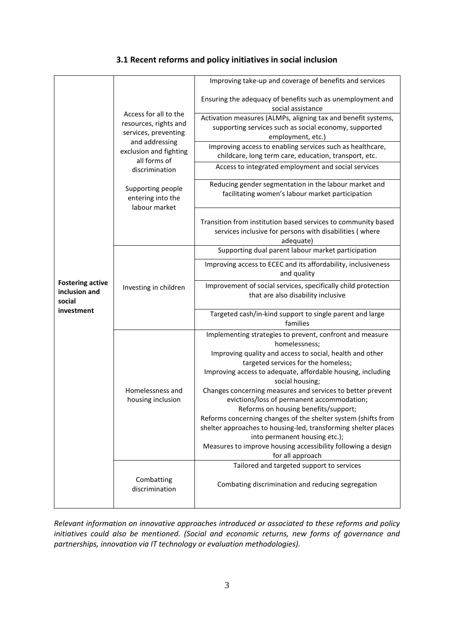|                                                                  |                                                                                                                                    | Improving take-up and coverage of benefits and services                                                                                                                                                                                                                                                                                                                                                                                                                                    |
|------------------------------------------------------------------|------------------------------------------------------------------------------------------------------------------------------------|--------------------------------------------------------------------------------------------------------------------------------------------------------------------------------------------------------------------------------------------------------------------------------------------------------------------------------------------------------------------------------------------------------------------------------------------------------------------------------------------|
| <b>Fostering active</b><br>inclusion and<br>social<br>investment | Access for all to the<br>resources, rights and<br>services, preventing<br>and addressing<br>exclusion and fighting<br>all forms of | Ensuring the adequacy of benefits such as unemployment and<br>social assistance                                                                                                                                                                                                                                                                                                                                                                                                            |
|                                                                  |                                                                                                                                    | Activation measures (ALMPs, aligning tax and benefit systems,<br>supporting services such as social economy, supported<br>employment, etc.)                                                                                                                                                                                                                                                                                                                                                |
|                                                                  |                                                                                                                                    | Improving access to enabling services such as healthcare,<br>childcare, long term care, education, transport, etc.                                                                                                                                                                                                                                                                                                                                                                         |
|                                                                  | discrimination                                                                                                                     | Access to integrated employment and social services                                                                                                                                                                                                                                                                                                                                                                                                                                        |
|                                                                  | Supporting people<br>entering into the<br>labour market                                                                            | Reducing gender segmentation in the labour market and<br>facilitating women's labour market participation                                                                                                                                                                                                                                                                                                                                                                                  |
|                                                                  |                                                                                                                                    | Transition from institution based services to community based<br>services inclusive for persons with disabilities (where<br>adequate)                                                                                                                                                                                                                                                                                                                                                      |
|                                                                  |                                                                                                                                    | Supporting dual parent labour market participation                                                                                                                                                                                                                                                                                                                                                                                                                                         |
|                                                                  |                                                                                                                                    | Improving access to ECEC and its affordability, inclusiveness<br>and quality                                                                                                                                                                                                                                                                                                                                                                                                               |
|                                                                  | Investing in children                                                                                                              | Improvement of social services, specifically child protection<br>that are also disability inclusive                                                                                                                                                                                                                                                                                                                                                                                        |
|                                                                  |                                                                                                                                    | Targeted cash/in-kind support to single parent and large<br>families                                                                                                                                                                                                                                                                                                                                                                                                                       |
|                                                                  |                                                                                                                                    | Implementing strategies to prevent, confront and measure<br>homelessness;<br>Improving quality and access to social, health and other<br>targeted services for the homeless;                                                                                                                                                                                                                                                                                                               |
|                                                                  | Homelessness and<br>housing inclusion                                                                                              | Improving access to adequate, affordable housing, including<br>social housing;<br>Changes concerning measures and services to better prevent<br>evictions/loss of permanent accommodation;<br>Reforms on housing benefits/support;<br>Reforms concerning changes of the shelter system (shifts from<br>shelter approaches to housing-led, transforming shelter places<br>into permanent housing etc.);<br>Measures to improve housing accessibility following a design<br>for all approach |
|                                                                  | Combatting<br>discrimination                                                                                                       | Tailored and targeted support to services<br>Combating discrimination and reducing segregation                                                                                                                                                                                                                                                                                                                                                                                             |

*Relevant information on innovative approaches introduced or associated to these reforms and policy initiatives could also be mentioned. (Social and economic returns, new forms of governance and partnerships, innovation via IT technology or evaluation methodologies).*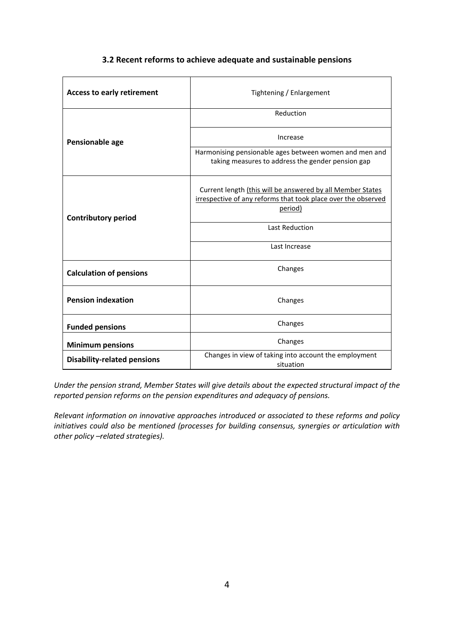#### **3.2 Recent reforms to achieve adequate and sustainable pensions**

| <b>Access to early retirement</b>  | Tightening / Enlargement                                                                                                               |  |
|------------------------------------|----------------------------------------------------------------------------------------------------------------------------------------|--|
|                                    | Reduction                                                                                                                              |  |
| Pensionable age                    | Increase                                                                                                                               |  |
|                                    | Harmonising pensionable ages between women and men and<br>taking measures to address the gender pension gap                            |  |
| <b>Contributory period</b>         | Current length (this will be answered by all Member States<br>irrespective of any reforms that took place over the observed<br>period) |  |
|                                    | <b>Last Reduction</b>                                                                                                                  |  |
|                                    | Last Increase                                                                                                                          |  |
| <b>Calculation of pensions</b>     | Changes                                                                                                                                |  |
| <b>Pension indexation</b>          | Changes                                                                                                                                |  |
| <b>Funded pensions</b>             | Changes                                                                                                                                |  |
| <b>Minimum pensions</b>            | Changes                                                                                                                                |  |
| <b>Disability-related pensions</b> | Changes in view of taking into account the employment<br>situation                                                                     |  |

*Under the pension strand, Member States will give details about the expected structural impact of the reported pension reforms on the pension expenditures and adequacy of pensions.*

*Relevant information on innovative approaches introduced or associated to these reforms and policy initiatives could also be mentioned (processes for building consensus, synergies or articulation with other policy –related strategies).*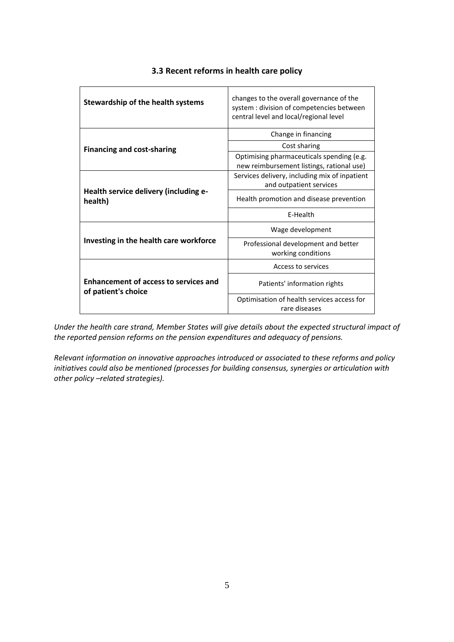| Stewardship of the health systems                                   | changes to the overall governance of the<br>system : division of competencies between<br>central level and local/regional level |
|---------------------------------------------------------------------|---------------------------------------------------------------------------------------------------------------------------------|
|                                                                     | Change in financing                                                                                                             |
| <b>Financing and cost-sharing</b>                                   | Cost sharing                                                                                                                    |
|                                                                     | Optimising pharmaceuticals spending (e.g.<br>new reimbursement listings, rational use)                                          |
| Health service delivery (including e-<br>health)                    | Services delivery, including mix of inpatient<br>and outpatient services                                                        |
|                                                                     | Health promotion and disease prevention                                                                                         |
|                                                                     | E-Health                                                                                                                        |
|                                                                     | Wage development                                                                                                                |
| Investing in the health care workforce                              | Professional development and better<br>working conditions                                                                       |
|                                                                     | Access to services                                                                                                              |
| <b>Enhancement of access to services and</b><br>of patient's choice | Patients' information rights                                                                                                    |
|                                                                     | Optimisation of health services access for<br>rare diseases                                                                     |

#### **3.3 Recent reforms in health care policy**

*Under the health care strand, Member States will give details about the expected structural impact of the reported pension reforms on the pension expenditures and adequacy of pensions.*

*Relevant information on innovative approaches introduced or associated to these reforms and policy initiatives could also be mentioned (processes for building consensus, synergies or articulation with other policy –related strategies).*